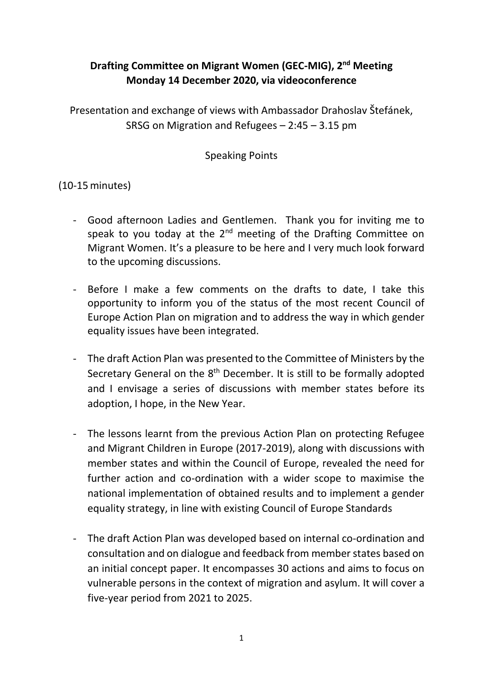## **Drafting Committee on Migrant Women (GEC-MIG), 2nd Meeting Monday 14 December 2020, via videoconference**

Presentation and exchange of views with Ambassador Drahoslav Štefánek, SRSG on Migration and Refugees – 2:45 – 3.15 pm

Speaking Points

(10-15minutes)

- Good afternoon Ladies and Gentlemen. Thank you for inviting me to speak to you today at the  $2^{nd}$  meeting of the Drafting Committee on Migrant Women. It's a pleasure to be here and I very much look forward to the upcoming discussions.
- Before I make a few comments on the drafts to date, I take this opportunity to inform you of the status of the most recent Council of Europe Action Plan on migration and to address the way in which gender equality issues have been integrated.
- The draft Action Plan was presented to the Committee of Ministers by the Secretary General on the 8<sup>th</sup> December. It is still to be formally adopted and I envisage a series of discussions with member states before its adoption, I hope, in the New Year.
- The lessons learnt from the previous Action Plan on protecting Refugee and Migrant Children in Europe (2017-2019), along with discussions with member states and within the Council of Europe, revealed the need for further action and co-ordination with a wider scope to maximise the national implementation of obtained results and to implement a gender equality strategy, in line with existing Council of Europe Standards
- The draft Action Plan was developed based on internal co-ordination and consultation and on dialogue and feedback from member states based on an initial concept paper. It encompasses 30 actions and aims to focus on vulnerable persons in the context of migration and asylum. It will cover a five-year period from 2021 to 2025.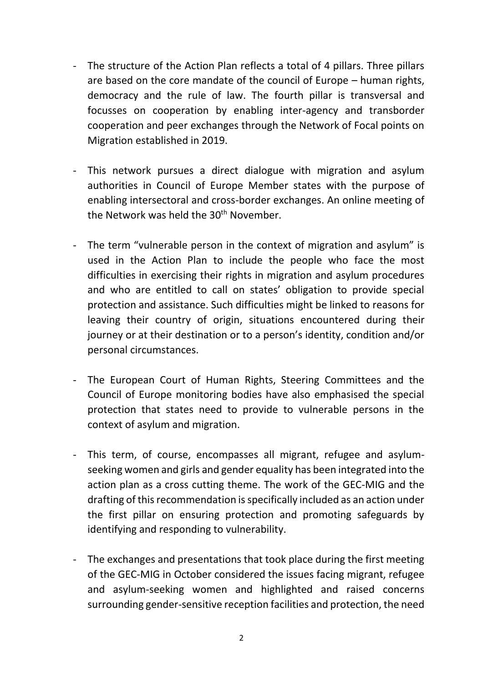- The structure of the Action Plan reflects a total of 4 pillars. Three pillars are based on the core mandate of the council of Europe – human rights, democracy and the rule of law. The fourth pillar is transversal and focusses on cooperation by enabling inter-agency and transborder cooperation and peer exchanges through the Network of Focal points on Migration established in 2019.
- This network pursues a direct dialogue with migration and asylum authorities in Council of Europe Member states with the purpose of enabling intersectoral and cross-border exchanges. An online meeting of the Network was held the  $30<sup>th</sup>$  November.
- The term "vulnerable person in the context of migration and asylum" is used in the Action Plan to include the people who face the most difficulties in exercising their rights in migration and asylum procedures and who are entitled to call on states' obligation to provide special protection and assistance. Such difficulties might be linked to reasons for leaving their country of origin, situations encountered during their journey or at their destination or to a person's identity, condition and/or personal circumstances.
- The European Court of Human Rights, Steering Committees and the Council of Europe monitoring bodies have also emphasised the special protection that states need to provide to vulnerable persons in the context of asylum and migration.
- This term, of course, encompasses all migrant, refugee and asylumseeking women and girls and gender equality has been integrated into the action plan as a cross cutting theme. The work of the GEC-MIG and the drafting of this recommendation is specifically included as an action under the first pillar on ensuring protection and promoting safeguards by identifying and responding to vulnerability.
- The exchanges and presentations that took place during the first meeting of the GEC-MIG in October considered the issues facing migrant, refugee and asylum-seeking women and highlighted and raised concerns surrounding gender-sensitive reception facilities and protection, the need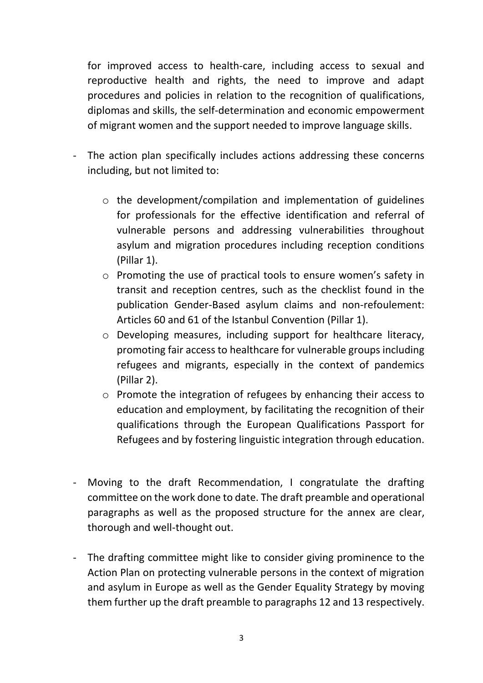for improved access to health-care, including access to sexual and reproductive health and rights, the need to improve and adapt procedures and policies in relation to the recognition of qualifications, diplomas and skills, the self-determination and economic empowerment of migrant women and the support needed to improve language skills.

- The action plan specifically includes actions addressing these concerns including, but not limited to:
	- o the development/compilation and implementation of guidelines for professionals for the effective identification and referral of vulnerable persons and addressing vulnerabilities throughout asylum and migration procedures including reception conditions (Pillar 1).
	- o Promoting the use of practical tools to ensure women's safety in transit and reception centres, such as the checklist found in the publication Gender-Based asylum claims and non-refoulement: Articles 60 and 61 of the Istanbul Convention (Pillar 1).
	- o Developing measures, including support for healthcare literacy, promoting fair access to healthcare for vulnerable groups including refugees and migrants, especially in the context of pandemics (Pillar 2).
	- o Promote the integration of refugees by enhancing their access to education and employment, by facilitating the recognition of their qualifications through the European Qualifications Passport for Refugees and by fostering linguistic integration through education.
- Moving to the draft Recommendation, I congratulate the drafting committee on the work done to date. The draft preamble and operational paragraphs as well as the proposed structure for the annex are clear, thorough and well-thought out.
- The drafting committee might like to consider giving prominence to the Action Plan on protecting vulnerable persons in the context of migration and asylum in Europe as well as the Gender Equality Strategy by moving them further up the draft preamble to paragraphs 12 and 13 respectively.